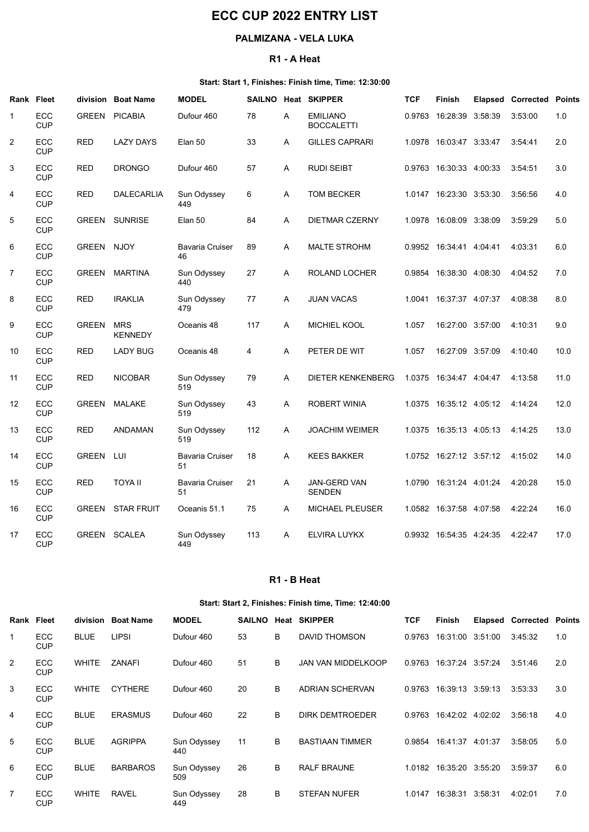# ECC CUP 2022 ENTRY LIST

## PALMIZANA - VELA LUKA

#### R1 - A Heat

#### Start: Start 1, Finishes: Finish time, Time: 12:30:00

|                | <b>ECC CUP 2022 ENTRY LIST</b> |                         |                    |                                                 |          |             |                                                       |            |                                                                    |  |                                 |              |  |
|----------------|--------------------------------|-------------------------|--------------------|-------------------------------------------------|----------|-------------|-------------------------------------------------------|------------|--------------------------------------------------------------------|--|---------------------------------|--------------|--|
|                | PALMIZANA - VELA LUKA          |                         |                    |                                                 |          |             |                                                       |            |                                                                    |  |                                 |              |  |
|                |                                |                         |                    |                                                 |          | R1 - A Heat |                                                       |            |                                                                    |  |                                 |              |  |
|                |                                |                         |                    |                                                 |          |             | Start: Start 1, Finishes: Finish time, Time: 12:30:00 |            |                                                                    |  |                                 |              |  |
|                | <b>Rank Fleet</b>              |                         | division Boat Name | <b>MODEL</b>                                    |          |             | SAILNO Heat SKIPPER                                   | <b>TCF</b> | Finish                                                             |  | <b>Elapsed Corrected Points</b> |              |  |
|                | ECC<br><b>CUP</b>              |                         | GREEN PICABIA      | Dufour 460                                      | 78       | A           | <b>EMILIANO</b><br><b>BOCCALETTI</b>                  | 0.9763     | 16:28:39 3:58:39                                                   |  | 3:53:00                         | 1.0          |  |
| $\overline{c}$ | ECC<br><b>CUP</b>              | <b>RED</b>              | <b>LAZY DAYS</b>   | Elan 50                                         | 33       | A           | <b>GILLES CAPRARI</b>                                 |            | 1.0978 16:03:47 3:33:47                                            |  | 3:54:41                         | 2.0          |  |
| 3              | ECC<br><b>CUP</b>              | <b>RED</b>              | <b>DRONGO</b>      | Dufour 460                                      | 57       | A           | <b>RUDI SEIBT</b>                                     |            | 0.9763 16:30:33 4:00:33                                            |  | 3:54:51                         | 3.0          |  |
| 4              | ECC<br><b>CUP</b>              | <b>RED</b>              | <b>DALECARLIA</b>  | Sun Odyssey<br>449                              | 6        | A           | <b>TOM BECKER</b>                                     | 1.0147     | 16:23:30 3:53:30                                                   |  | 3:56:56                         | 4.0          |  |
| 5              | ECC<br><b>CUP</b>              |                         | GREEN SUNRISE      | Elan 50                                         | 84       | A           | <b>DIETMAR CZERNY</b>                                 | 1.0978     | 16:08:09 3:38:09                                                   |  | 3:59:29                         | 5.0          |  |
| 6              | ECC<br><b>CUP</b>              | GREEN NJOY              |                    | <b>Bavaria Cruiser</b><br>46                    | 89       | A           | <b>MALTE STROHM</b>                                   |            | 0.9952 16.34.41 4:04:41                                            |  | 4:03:31                         | 6.0          |  |
| $\overline{7}$ | ECC<br><b>CUP</b>              |                         | GREEN MARTINA      | Sun Odyssey<br>440                              | 27       | A           | ROLAND LOCHER                                         |            | 0.9854 16:38:30 4:08:30                                            |  | 4:04:52                         | 7.0          |  |
| 8              | ECC<br><b>CUP</b>              | <b>RED</b>              | <b>IRAKLIA</b>     | Sun Odyssey<br>479                              | 77       | A           | <b>JUAN VACAS</b>                                     |            | 1.0041 16:37:37 4:07:37                                            |  | 4:08:38                         | 8.0          |  |
| 9              | ECC<br><b>CUP</b>              | GREEN MRS               | <b>KENNEDY</b>     | Oceanis 48                                      | 117      | A           | MICHIEL KOOL                                          | 1.057      | 16:27:00 3:57:00                                                   |  | 4:10:31                         | 9.0          |  |
| 10             | ECC<br><b>CUP</b>              | <b>RED</b>              | <b>LADY BUG</b>    | Oceanis 48                                      | 4        | A           | PETER DE WIT                                          | 1.057      | 16:27:09 3:57:09 4:10:40                                           |  |                                 | 10.0         |  |
| 11             | ECC<br><b>CUP</b>              | <b>RED</b>              | <b>NICOBAR</b>     | Sun Odyssey<br>519                              | 79       | A           | DIETER KENKENBERG                                     |            | 1.0375 16:34:47 4:04:47 4:13:58                                    |  |                                 | 11.0         |  |
| 12             | ECC<br><b>CUP</b>              |                         | GREEN MALAKE       | Sun Odyssey<br>519                              | 43       | A           | ROBERT WINIA                                          |            | 1.0375 16:35:12 4:05:12 4:14:24                                    |  |                                 | 12.0         |  |
| 13             | ECC<br><b>CUP</b>              | <b>RED</b>              | ANDAMAN            | Sun Odyssey<br>519                              | 112      | A           | <b>JOACHIM WEIMER</b>                                 |            | 1.0375 16:35:13 4:05:13 4:14:25                                    |  |                                 | 13.0         |  |
| 14<br>15       | ECC<br><b>CUP</b><br>ECC       | GREEN LUI<br><b>RED</b> | <b>TOYA II</b>     | <b>Bavaria Cruiser</b><br>51<br>Bavaria Cruiser | 18<br>21 | A<br>A      | <b>KEES BAKKER</b><br>JAN-GERD VAN                    |            | 1.0752 16:27:12 3:57:12 4:15:02<br>1.0790 16:31:24 4:01:24 4:20:28 |  |                                 | 14.0<br>15.0 |  |
| 16             | <b>CUP</b><br>ECC              |                         | GREEN STAR FRUIT   | 51<br>Oceanis 51.1                              | 75       | A           | SENDEN<br>MICHAEL PLEUSER                             |            | 1.0582  16:37:58  4:07:58                                          |  | 4:22:24                         | 16.0         |  |
| 17             | <b>CUP</b><br>ECC              |                         | GREEN SCALEA       | Sun Odyssey                                     | 113      | A           | ELVIRA LUYKX                                          |            | 0.9932 16:54:35 4:24:35                                            |  | 4:22:47                         | 17.0         |  |
|                | <b>CUP</b>                     |                         |                    | 449                                             |          |             |                                                       |            |                                                                    |  |                                 |              |  |
|                |                                |                         |                    |                                                 |          | R1 - B Heat |                                                       |            |                                                                    |  |                                 |              |  |
|                |                                |                         |                    |                                                 |          |             | Start: Start 2, Finishes: Finish time, Time: 12:40:00 |            |                                                                    |  |                                 |              |  |
|                | Rank Fleet                     |                         | division Boat Name | <b>MODEL</b>                                    |          |             | SAILNO Heat SKIPPER                                   | <b>TCF</b> | Finish                                                             |  | <b>Elapsed Corrected Points</b> |              |  |
|                | ECC<br><b>CUP</b>              | <b>BLUE</b>             | <b>LIPSI</b>       | Dufour 460                                      | 53       | В           | DAVID THOMSON                                         |            | 0.9763 16:31:00 3:51:00 3:45:32                                    |  |                                 | 1.0          |  |
| $\overline{2}$ | ECC<br><b>CUP</b>              | WHITE                   | ZANAFI             | Dufour 460                                      | 51       | B           | JAN VAN MIDDELKOOP                                    |            | 0.9763 16:37:24 3:57:24                                            |  | 3:51:46                         | 2.0          |  |
| 3              | ECC<br><b>CUP</b>              | WHITE                   | <b>CYTHERE</b>     | Dufour 460                                      | 20       | В           | ADRIAN SCHERVAN                                       |            | 0.9763 16:39:13 3:59:13 3:53:33                                    |  |                                 | 3.0          |  |
| 4              | ECC                            | <b>BLUE</b>             | <b>ERASMUS</b>     | Dufour 460                                      | 22       | B           | DIRK DEMTROEDER                                       |            | 0.9763 16:42:02 4:02:02 3:56:18                                    |  |                                 | 4.0          |  |

#### R1 - B Heat

#### Start: Start 2, Finishes: Finish time, Time: 12:40:00

| ECC<br>GREEN LUI<br><b>Bavaria Cruiser</b><br><b>KEES BAKKER</b><br>1.0752 16:27:12 3:57:12<br>18<br>4:15:02<br>14.0<br>$\mathsf{A}$<br><b>CUP</b><br>51<br>ECC<br><b>RED</b><br>TOYA II<br><b>Bavaria Cruiser</b><br>21<br><b>JAN-GERD VAN</b><br>15.0<br>$\mathsf{A}$<br>1.0790  16:31:24  4:01:24<br>4:20:28<br><b>CUP</b><br><b>SENDEN</b><br>51<br><b>GREEN STAR FRUIT</b><br>ECC<br>75<br>MICHAEL PLEUSER<br>1.0582 16:37:58 4:07:58<br>4:22:24<br>16.0<br>Oceanis 51.1<br>A<br><b>CUP</b><br>ECC<br>GREEN SCALEA<br>Sun Odyssey<br>113<br>ELVIRA LUYKX<br>16:54:35 4:24:35<br>17.0<br>$\mathsf{A}$<br>0.9932<br>4:22:47<br><b>CUP</b><br>449<br>R1 - B Heat<br>Start: Start 2, Finishes: Finish time, Time: 12:40:00<br>Rank Fleet<br>division Boat Name<br><b>Elapsed Corrected Points</b><br><b>MODEL</b><br>SAILNO Heat SKIPPER<br><b>TCF</b><br><b>Finish</b><br>ECC<br><b>BLUE</b><br><b>LIPSI</b><br>B<br>DAVID THOMSON<br>Dufour 460<br>53<br>0.9763 16:31:00 3:51:00<br>3:45:32<br>1.0<br><b>CUP</b><br>ECC<br>ZANAFI<br>Dufour 460<br>51<br>B<br>WHITE<br>JAN VAN MIDDELKOOP<br>0.9763 16:37:24 3:57:24<br>3:51:46<br>2.0<br><b>CUP</b><br>ECC<br>20<br>B<br>WHITE<br><b>CYTHERE</b><br>Dufour 460<br>ADRIAN SCHERVAN<br>0.9763 16:39:13 3:59:13<br>3:53:33<br>3.0<br><b>CUP</b><br>ECC<br><b>BLUE</b><br><b>ERASMUS</b><br>Dufour 460<br>22<br>B<br><b>DIRK DEMTROEDER</b><br>0.9763 16:42:02 4:02:02<br>3:56:18<br>4.0<br><b>CUP</b><br>ECC<br><b>BLUE</b><br><b>AGRIPPA</b><br>Sun Odyssey<br>11<br>B<br><b>BASTIAAN TIMMER</b><br>0.9854 16:41:37 4:01:37<br>3:58:05<br>5.0<br><b>CUP</b><br>440<br>ECC<br><b>BLUE</b><br><b>BARBAROS</b><br>Sun Odyssey<br>26<br>B<br>RALF BRAUNE<br>1.0182  16:35:20  3:55:20<br>3:59:37<br>6.0<br>509<br><b>CUP</b><br>ECC<br>WHITE<br><b>RAVEL</b><br>28<br>B<br>STEFAN NUFER<br>1.0147 16:38:31 3:58:31<br>4:02:01<br>7.0<br>Sun Odyssey<br><b>CUP</b><br>449 | 13             | ヒしし<br><b>CUP</b> | <b>RED</b> | <b>ANDAMAN</b> | Sun Odyssey<br>519 | ΠZ | $\mathsf{A}$ | <b>JUACHIM WEIMER</b> | $1.03/5$ $10.35.13$ $4.05.13$ | 4.14.ZO | 13.U |
|------------------------------------------------------------------------------------------------------------------------------------------------------------------------------------------------------------------------------------------------------------------------------------------------------------------------------------------------------------------------------------------------------------------------------------------------------------------------------------------------------------------------------------------------------------------------------------------------------------------------------------------------------------------------------------------------------------------------------------------------------------------------------------------------------------------------------------------------------------------------------------------------------------------------------------------------------------------------------------------------------------------------------------------------------------------------------------------------------------------------------------------------------------------------------------------------------------------------------------------------------------------------------------------------------------------------------------------------------------------------------------------------------------------------------------------------------------------------------------------------------------------------------------------------------------------------------------------------------------------------------------------------------------------------------------------------------------------------------------------------------------------------------------------------------------------------------------------------------------------------------------------------------------------------|----------------|-------------------|------------|----------------|--------------------|----|--------------|-----------------------|-------------------------------|---------|------|
|                                                                                                                                                                                                                                                                                                                                                                                                                                                                                                                                                                                                                                                                                                                                                                                                                                                                                                                                                                                                                                                                                                                                                                                                                                                                                                                                                                                                                                                                                                                                                                                                                                                                                                                                                                                                                                                                                                                        | 14             |                   |            |                |                    |    |              |                       |                               |         |      |
|                                                                                                                                                                                                                                                                                                                                                                                                                                                                                                                                                                                                                                                                                                                                                                                                                                                                                                                                                                                                                                                                                                                                                                                                                                                                                                                                                                                                                                                                                                                                                                                                                                                                                                                                                                                                                                                                                                                        | 15             |                   |            |                |                    |    |              |                       |                               |         |      |
|                                                                                                                                                                                                                                                                                                                                                                                                                                                                                                                                                                                                                                                                                                                                                                                                                                                                                                                                                                                                                                                                                                                                                                                                                                                                                                                                                                                                                                                                                                                                                                                                                                                                                                                                                                                                                                                                                                                        | 16             |                   |            |                |                    |    |              |                       |                               |         |      |
|                                                                                                                                                                                                                                                                                                                                                                                                                                                                                                                                                                                                                                                                                                                                                                                                                                                                                                                                                                                                                                                                                                                                                                                                                                                                                                                                                                                                                                                                                                                                                                                                                                                                                                                                                                                                                                                                                                                        | 17             |                   |            |                |                    |    |              |                       |                               |         |      |
|                                                                                                                                                                                                                                                                                                                                                                                                                                                                                                                                                                                                                                                                                                                                                                                                                                                                                                                                                                                                                                                                                                                                                                                                                                                                                                                                                                                                                                                                                                                                                                                                                                                                                                                                                                                                                                                                                                                        |                |                   |            |                |                    |    |              |                       |                               |         |      |
|                                                                                                                                                                                                                                                                                                                                                                                                                                                                                                                                                                                                                                                                                                                                                                                                                                                                                                                                                                                                                                                                                                                                                                                                                                                                                                                                                                                                                                                                                                                                                                                                                                                                                                                                                                                                                                                                                                                        |                |                   |            |                |                    |    |              |                       |                               |         |      |
|                                                                                                                                                                                                                                                                                                                                                                                                                                                                                                                                                                                                                                                                                                                                                                                                                                                                                                                                                                                                                                                                                                                                                                                                                                                                                                                                                                                                                                                                                                                                                                                                                                                                                                                                                                                                                                                                                                                        |                |                   |            |                |                    |    |              |                       |                               |         |      |
|                                                                                                                                                                                                                                                                                                                                                                                                                                                                                                                                                                                                                                                                                                                                                                                                                                                                                                                                                                                                                                                                                                                                                                                                                                                                                                                                                                                                                                                                                                                                                                                                                                                                                                                                                                                                                                                                                                                        | $\overline{1}$ |                   |            |                |                    |    |              |                       |                               |         |      |
|                                                                                                                                                                                                                                                                                                                                                                                                                                                                                                                                                                                                                                                                                                                                                                                                                                                                                                                                                                                                                                                                                                                                                                                                                                                                                                                                                                                                                                                                                                                                                                                                                                                                                                                                                                                                                                                                                                                        | $\overline{2}$ |                   |            |                |                    |    |              |                       |                               |         |      |
|                                                                                                                                                                                                                                                                                                                                                                                                                                                                                                                                                                                                                                                                                                                                                                                                                                                                                                                                                                                                                                                                                                                                                                                                                                                                                                                                                                                                                                                                                                                                                                                                                                                                                                                                                                                                                                                                                                                        | 3              |                   |            |                |                    |    |              |                       |                               |         |      |
|                                                                                                                                                                                                                                                                                                                                                                                                                                                                                                                                                                                                                                                                                                                                                                                                                                                                                                                                                                                                                                                                                                                                                                                                                                                                                                                                                                                                                                                                                                                                                                                                                                                                                                                                                                                                                                                                                                                        | $\overline{4}$ |                   |            |                |                    |    |              |                       |                               |         |      |
|                                                                                                                                                                                                                                                                                                                                                                                                                                                                                                                                                                                                                                                                                                                                                                                                                                                                                                                                                                                                                                                                                                                                                                                                                                                                                                                                                                                                                                                                                                                                                                                                                                                                                                                                                                                                                                                                                                                        | $\overline{5}$ |                   |            |                |                    |    |              |                       |                               |         |      |
|                                                                                                                                                                                                                                                                                                                                                                                                                                                                                                                                                                                                                                                                                                                                                                                                                                                                                                                                                                                                                                                                                                                                                                                                                                                                                                                                                                                                                                                                                                                                                                                                                                                                                                                                                                                                                                                                                                                        | 6              |                   |            |                |                    |    |              |                       |                               |         |      |
|                                                                                                                                                                                                                                                                                                                                                                                                                                                                                                                                                                                                                                                                                                                                                                                                                                                                                                                                                                                                                                                                                                                                                                                                                                                                                                                                                                                                                                                                                                                                                                                                                                                                                                                                                                                                                                                                                                                        | $\overline{7}$ |                   |            |                |                    |    |              |                       |                               |         |      |
|                                                                                                                                                                                                                                                                                                                                                                                                                                                                                                                                                                                                                                                                                                                                                                                                                                                                                                                                                                                                                                                                                                                                                                                                                                                                                                                                                                                                                                                                                                                                                                                                                                                                                                                                                                                                                                                                                                                        |                |                   |            |                |                    |    |              |                       |                               |         |      |